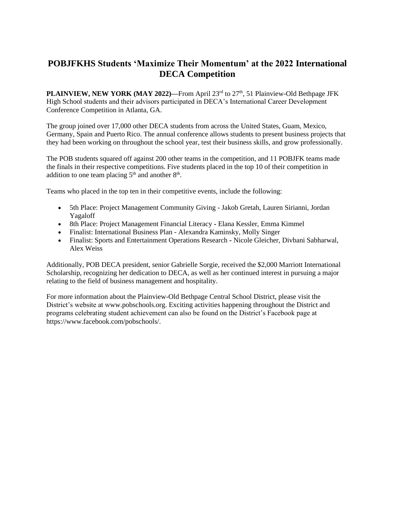## **POBJFKHS Students 'Maximize Their Momentum' at the 2022 International DECA Competition**

**PLAINVIEW, NEW YORK (MAY 2022)—From April 23<sup>rd</sup> to 27<sup>th</sup>, 51 Plainview-Old Bethpage JFK** High School students and their advisors participated in DECA's International Career Development Conference Competition in Atlanta, GA.

The group joined over 17,000 other DECA students from across the United States, Guam, Mexico, Germany, Spain and Puerto Rico. The annual conference allows students to present business projects that they had been working on throughout the school year, test their business skills, and grow professionally.

The POB students squared off against 200 other teams in the competition, and 11 POBJFK teams made the finals in their respective competitions. Five students placed in the top 10 of their competition in addition to one team placing  $5<sup>th</sup>$  and another  $8<sup>th</sup>$ .

Teams who placed in the top ten in their competitive events, include the following:

- 5th Place: Project Management Community Giving Jakob Gretah, Lauren Sirianni, Jordan Yagaloff
- 8th Place: Project Management Financial Literacy **-** Elana Kessler, Emma Kimmel
- Finalist: International Business Plan Alexandra Kaminsky, Molly Singer
- Finalist: Sports and Entertainment Operations Research **-** Nicole Gleicher, Divbani Sabharwal, Alex Weiss

Additionally, POB DECA president, senior Gabrielle Sorgie, received the \$2,000 Marriott International Scholarship, recognizing her dedication to DECA, as well as her continued interest in pursuing a major relating to the field of business management and hospitality.

For more information about the Plainview-Old Bethpage Central School District, please visit the District's website at www.pobschools.org. Exciting activities happening throughout the District and programs celebrating student achievement can also be found on the District's Facebook page at https://www.facebook.com/pobschools/.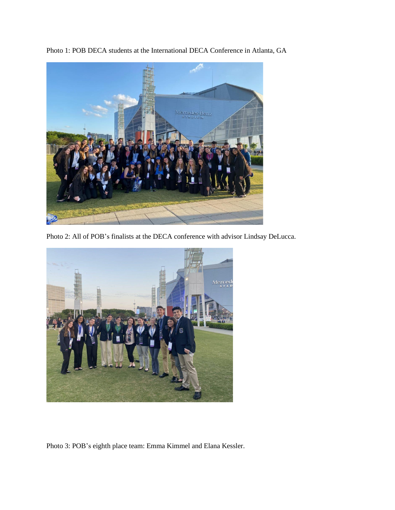



Photo 2: All of POB's finalists at the DECA conference with advisor Lindsay DeLucca.



Photo 3: POB's eighth place team: Emma Kimmel and Elana Kessler.